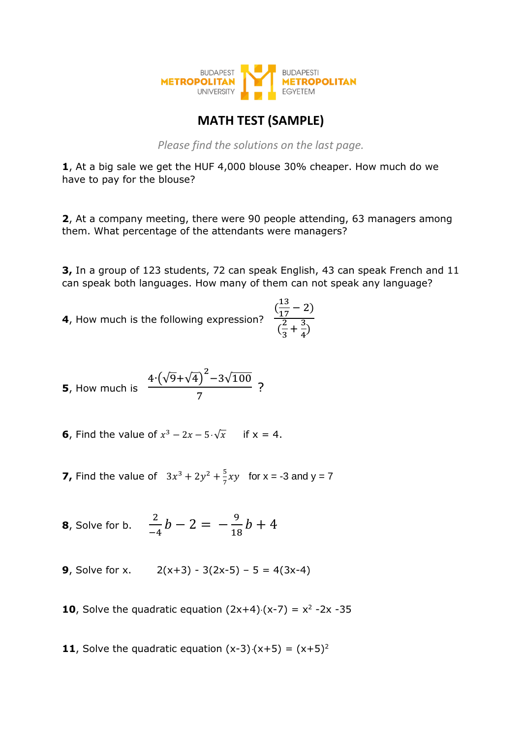

## **MATH TEST (SAMPLE)**

*Please find the solutions on the last page.*

**1**, At a big sale we get the HUF 4,000 blouse 30% cheaper. How much do we have to pay for the blouse?

**2**, At a company meeting, there were 90 people attending, 63 managers among them. What percentage of the attendants were managers?

**3,** In a group of 123 students, 72 can speak English, 43 can speak French and 11 can speak both languages. How many of them can not speak any language?

 $\frac{3}{4}$ 

**4**, How much is the following expression?  $\left(\frac{13}{17}\right)$  $\frac{13}{17} - 2$  $\sqrt{\frac{2}{2}}$  $\frac{2}{3} + \frac{3}{4}$ 

**5**, How much is 
$$
\frac{4 \cdot (\sqrt{9} + \sqrt{4})^2 - 3\sqrt{100}}{7}
$$
?

- **6**, Find the value of  $x^3 2x 5 \cdot \sqrt{x}$  if  $x = 4$ .
- **7,** Find the value of  $3x^3 + 2y^2 + \frac{5}{7}$  $\frac{5}{7}xy$  for x = -3 and y = 7
- **8**, Solve for b. 2  $\frac{2}{-4}b-2=-\frac{9}{18}$  $\frac{1}{18}b + 4$
- **9**, Solve for x.  $2(x+3) 3(2x-5) 5 = 4(3x-4)$
- **10**, Solve the quadratic equation  $(2x+4)(x-7) = x^2 2x 35$
- **11**, Solve the quadratic equation  $(x-3)(x+5) = (x+5)^2$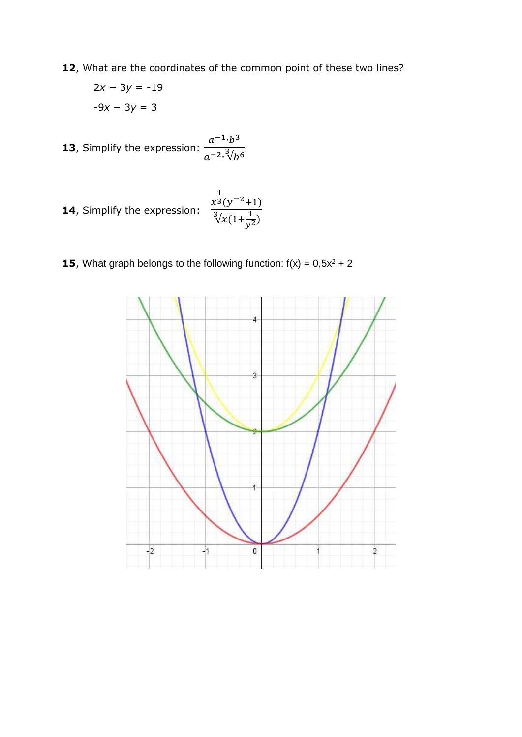12, What are the coordinates of the common point of these two lines?

$$
2x - 3y = -19
$$

$$
-9x - 3y = 3
$$

**13**, Simplify the expression:  $a^{-1}b^3$  $a^{-2} \sqrt[3]{b^6}$ 

**14**, Simplify the expression: 
$$
\frac{x^{\frac{1}{3}}(y^{-2}+1)}{\sqrt[3]{x}(1+\frac{1}{y^2})}
$$

**15**, What graph belongs to the following function:  $f(x) = 0.5x^2 + 2$ 

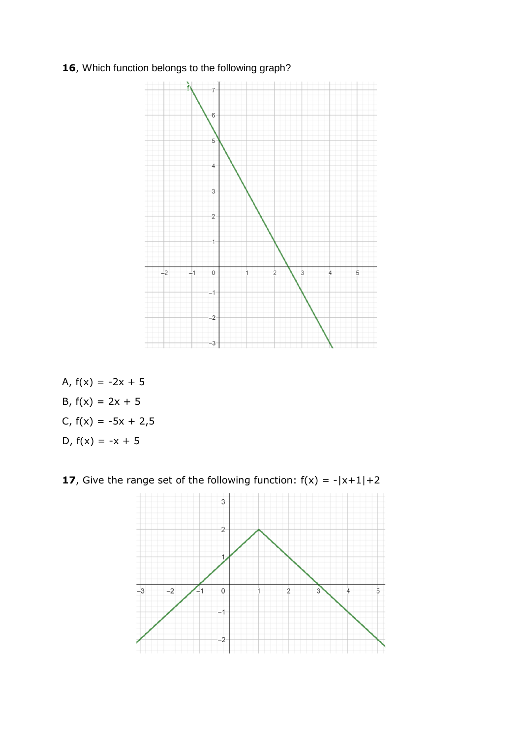## **16**, Which function belongs to the following graph?



A,  $f(x) = -2x + 5$ B,  $f(x) = 2x + 5$ C,  $f(x) = -5x + 2,5$ D,  $f(x) = -x + 5$ 

**17**, Give the range set of the following function:  $f(x) = -|x+1|+2$ 

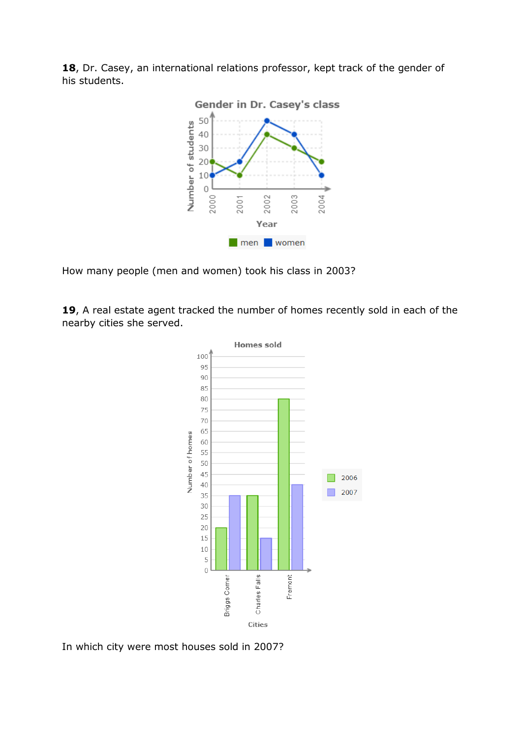



How many people (men and women) took his class in 2003?

**19**, A real estate agent tracked the number of homes recently sold in each of the nearby cities she served.



In which city were most houses sold in 2007?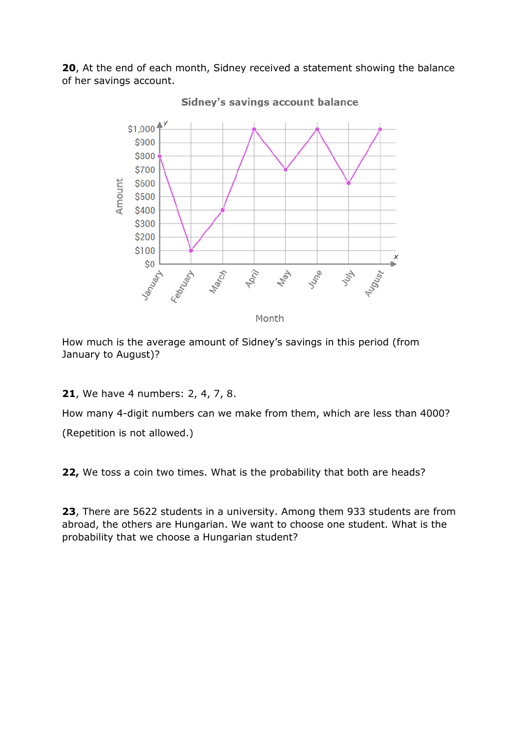**20**, At the end of each month, Sidney received a statement showing the balance of her savings account.



How much is the average amount of Sidney's savings in this period (from January to August)?

**21**, We have 4 numbers: 2, 4, 7, 8.

How many 4-digit numbers can we make from them, which are less than 4000? (Repetition is not allowed.)

**22,** We toss a coin two times. What is the probability that both are heads?

**23**, There are 5622 students in a university. Among them 933 students are from abroad, the others are Hungarian. We want to choose one student. What is the probability that we choose a Hungarian student?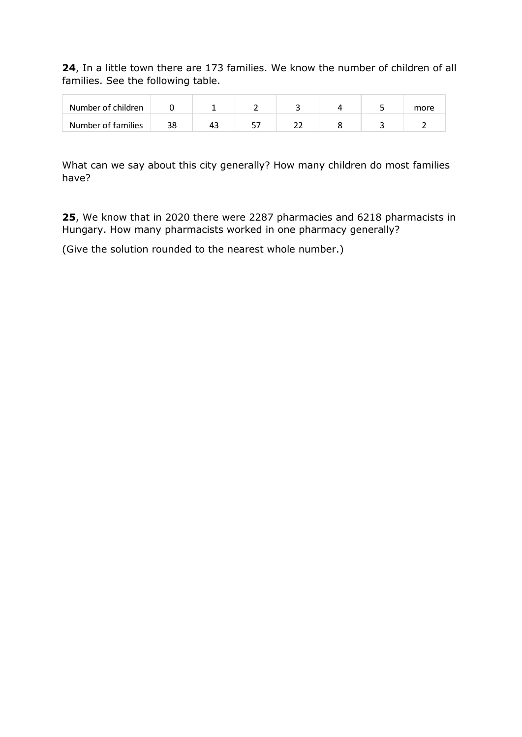**24**, In a little town there are 173 families. We know the number of children of all families. See the following table.

| Number of children |    |    |    |  | more |
|--------------------|----|----|----|--|------|
| Number of families | 38 | 45 | -- |  |      |

What can we say about this city generally? How many children do most families have?

**25**, We know that in 2020 there were 2287 pharmacies and 6218 pharmacists in Hungary. How many pharmacists worked in one pharmacy generally?

(Give the solution rounded to the nearest whole number.)